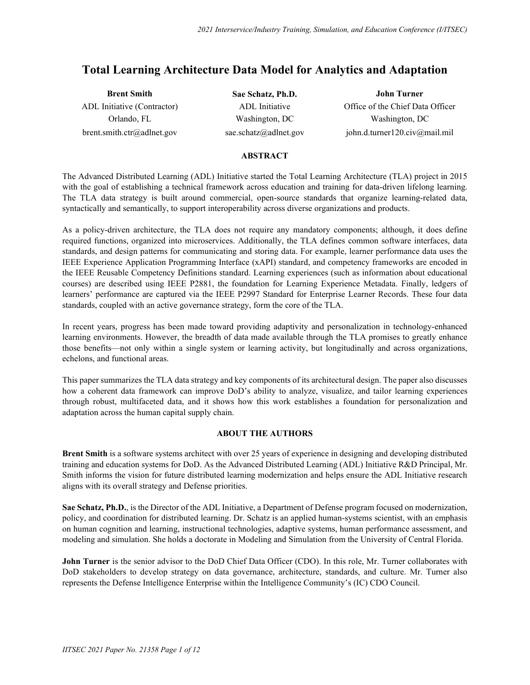# **Total Learning Architecture Data Model for Analytics and Adaptation**

| <b>Brent Smith</b>          | Sae Schatz, Ph.D.     | <b>John Turner</b>               |
|-----------------------------|-----------------------|----------------------------------|
| ADL Initiative (Contractor) | ADL Initiative        | Office of the Chief Data Officer |
| Orlando, FL                 | Washington, DC        | Washington, DC                   |
| brent.smith.ctr@adlnet.gov  | sae.schatz@adlnet.gov | john.d.turner120.civ@mail.mil    |

#### **ABSTRACT**

The Advanced Distributed Learning (ADL) Initiative started the Total Learning Architecture (TLA) project in 2015 with the goal of establishing a technical framework across education and training for data-driven lifelong learning. The TLA data strategy is built around commercial, open-source standards that organize learning-related data, syntactically and semantically, to support interoperability across diverse organizations and products.

As a policy-driven architecture, the TLA does not require any mandatory components; although, it does define required functions, organized into microservices. Additionally, the TLA defines common software interfaces, data standards, and design patterns for communicating and storing data. For example, learner performance data uses the IEEE Experience Application Programming Interface (xAPI) standard, and competency frameworks are encoded in the IEEE Reusable Competency Definitions standard. Learning experiences (such as information about educational courses) are described using IEEE P2881, the foundation for Learning Experience Metadata. Finally, ledgers of learners' performance are captured via the IEEE P2997 Standard for Enterprise Learner Records. These four data standards, coupled with an active governance strategy, form the core of the TLA.

In recent years, progress has been made toward providing adaptivity and personalization in technology-enhanced learning environments. However, the breadth of data made available through the TLA promises to greatly enhance those benefits—not only within a single system or learning activity, but longitudinally and across organizations, echelons, and functional areas.

This paper summarizes the TLA data strategy and key components of its architectural design. The paper also discusses how a coherent data framework can improve DoD's ability to analyze, visualize, and tailor learning experiences through robust, multifaceted data, and it shows how this work establishes a foundation for personalization and adaptation across the human capital supply chain.

### **ABOUT THE AUTHORS**

**Brent Smith** is a software systems architect with over 25 years of experience in designing and developing distributed training and education systems for DoD. As the Advanced Distributed Learning (ADL) Initiative R&D Principal, Mr. Smith informs the vision for future distributed learning modernization and helps ensure the ADL Initiative research aligns with its overall strategy and Defense priorities.

**Sae Schatz, Ph.D.**, is the Director of the ADL Initiative, a Department of Defense program focused on modernization, policy, and coordination for distributed learning. Dr. Schatz is an applied human-systems scientist, with an emphasis on human cognition and learning, instructional technologies, adaptive systems, human performance assessment, and modeling and simulation. She holds a doctorate in Modeling and Simulation from the University of Central Florida.

**John Turner** is the senior advisor to the DoD Chief Data Officer (CDO). In this role, Mr. Turner collaborates with DoD stakeholders to develop strategy on data governance, architecture, standards, and culture. Mr. Turner also represents the Defense Intelligence Enterprise within the Intelligence Community's (IC) CDO Council.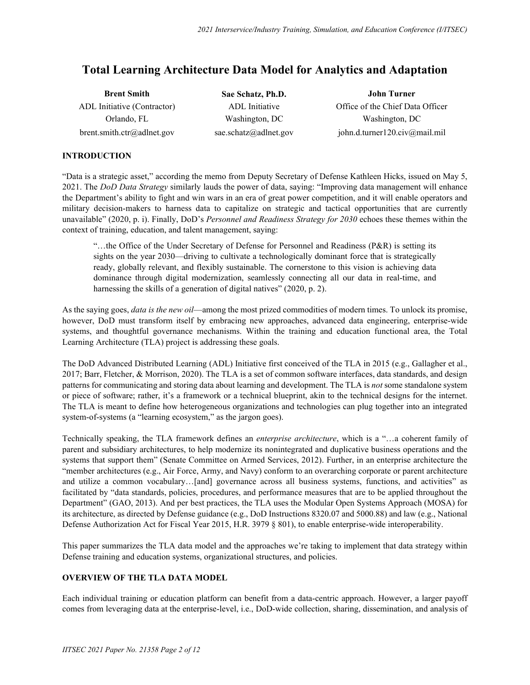# **Total Learning Architecture Data Model for Analytics and Adaptation**

| <b>Brent Smith</b>          | Sae Schatz, Ph.D.     | John Turner                      |
|-----------------------------|-----------------------|----------------------------------|
| ADL Initiative (Contractor) | ADL Initiative        | Office of the Chief Data Officer |
| Orlando, FL                 | Washington, DC        | Washington, DC                   |
| brent.smith.ctr@adlnet.gov  | sae.schatz@adlnet.gov | john.d.turner120.civ@mail.mil    |

## **INTRODUCTION**

"Data is a strategic asset," according the memo from Deputy Secretary of Defense Kathleen Hicks, issued on May 5, 2021. The *DoD Data Strategy* similarly lauds the power of data, saying: "Improving data management will enhance the Department's ability to fight and win wars in an era of great power competition, and it will enable operators and military decision-makers to harness data to capitalize on strategic and tactical opportunities that are currently unavailable" (2020, p. i). Finally, DoD's *Personnel and Readiness Strategy for 2030* echoes these themes within the context of training, education, and talent management, saying:

"…the Office of the Under Secretary of Defense for Personnel and Readiness (P&R) is setting its sights on the year 2030—driving to cultivate a technologically dominant force that is strategically ready, globally relevant, and flexibly sustainable. The cornerstone to this vision is achieving data dominance through digital modernization, seamlessly connecting all our data in real-time, and harnessing the skills of a generation of digital natives" (2020, p. 2).

As the saying goes, *data is the new oil*—among the most prized commodities of modern times. To unlock its promise, however, DoD must transform itself by embracing new approaches, advanced data engineering, enterprise-wide systems, and thoughtful governance mechanisms. Within the training and education functional area, the Total Learning Architecture (TLA) project is addressing these goals.

The DoD Advanced Distributed Learning (ADL) Initiative first conceived of the TLA in 2015 (e.g., Gallagher et al., 2017; Barr, Fletcher, & Morrison, 2020). The TLA is a set of common software interfaces, data standards, and design patterns for communicating and storing data about learning and development. The TLA is *not* some standalone system or piece of software; rather, it's a framework or a technical blueprint, akin to the technical designs for the internet. The TLA is meant to define how heterogeneous organizations and technologies can plug together into an integrated system-of-systems (a "learning ecosystem," as the jargon goes).

Technically speaking, the TLA framework defines an *enterprise architecture*, which is a "…a coherent family of parent and subsidiary architectures, to help modernize its nonintegrated and duplicative business operations and the systems that support them" (Senate Committee on Armed Services, 2012). Further, in an enterprise architecture the "member architectures (e.g., Air Force, Army, and Navy) conform to an overarching corporate or parent architecture and utilize a common vocabulary…[and] governance across all business systems, functions, and activities" as facilitated by "data standards, policies, procedures, and performance measures that are to be applied throughout the Department" (GAO, 2013). And per best practices, the TLA uses the Modular Open Systems Approach (MOSA) for its architecture, as directed by Defense guidance (e.g., DoD Instructions 8320.07 and 5000.88) and law (e.g., National Defense Authorization Act for Fiscal Year 2015, H.R. 3979 § 801), to enable enterprise-wide interoperability.

This paper summarizes the TLA data model and the approaches we're taking to implement that data strategy within Defense training and education systems, organizational structures, and policies.

# **OVERVIEW OF THE TLA DATA MODEL**

Each individual training or education platform can benefit from a data-centric approach. However, a larger payoff comes from leveraging data at the enterprise-level, i.e., DoD-wide collection, sharing, dissemination, and analysis of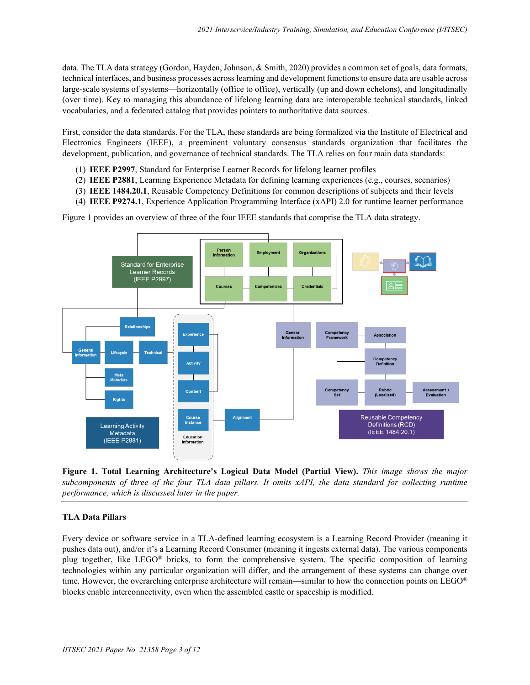data. The TLA data strategy (Gordon, Hayden, Johnson, & Smith, 2020) provides a common set of goals, data formats, technical interfaces, and business processes across learning and development functions to ensure data are usable across large-scale systems of systems—horizontally (office to office), vertically (up and down echelons), and longitudinally (over time). Key to managing this abundance of lifelong learning data are interoperable technical standards, linked vocabularies, and a federated catalog that provides pointers to authoritative data sources.

First, consider the data standards. For the TLA, these standards are being formalized via the Institute of Electrical and Electronics Engineers (IEEE), a preeminent voluntary consensus standards organization that facilitates the development, publication, and governance of technical standards. The TLA relies on four main data standards:

- (1) **IEEE P2997**, Standard for Enterprise Learner Records for lifelong learner profiles
- (2) **IEEE P2881**, Learning Experience Metadata for defining learning experiences (e.g., courses, scenarios)
- (3) **IEEE 1484.20.1**, Reusable Competency Definitions for common descriptions of subjects and their levels
- (4) **IEEE P9274.1**, Experience Application Programming Interface (xAPI) 2.0 for runtime learner performance

Figure 1 provides an overview of three of the four IEEE standards that comprise the TLA data strategy.



**Figure 1. Total Learning Architecture's Logical Data Model (Partial View).** *This image shows the major subcomponents of three of the four TLA data pillars. It omits xAPI, the data standard for collecting runtime performance, which is discussed later in the paper.*

### **TLA Data Pillars**

Every device or software service in a TLA-defined learning ecosystem is a Learning Record Provider (meaning it pushes data out), and/or it's a Learning Record Consumer (meaning it ingests external data). The various components plug together, like LEGO® bricks, to form the comprehensive system. The specific composition of learning technologies within any particular organization will differ, and the arrangement of these systems can change over time. However, the overarching enterprise architecture will remain—similar to how the connection points on LEGO® blocks enable interconnectivity, even when the assembled castle or spaceship is modified.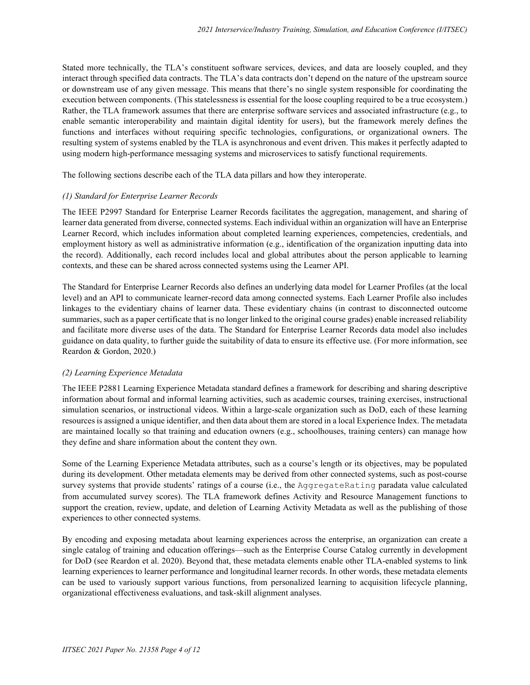Stated more technically, the TLA's constituent software services, devices, and data are loosely coupled, and they interact through specified data contracts. The TLA's data contracts don't depend on the nature of the upstream source or downstream use of any given message. This means that there's no single system responsible for coordinating the execution between components. (This statelessness is essential for the loose coupling required to be a true ecosystem.) Rather, the TLA framework assumes that there are enterprise software services and associated infrastructure (e.g., to enable semantic interoperability and maintain digital identity for users), but the framework merely defines the functions and interfaces without requiring specific technologies, configurations, or organizational owners. The resulting system of systems enabled by the TLA is asynchronous and event driven. This makes it perfectly adapted to using modern high-performance messaging systems and microservices to satisfy functional requirements.

The following sections describe each of the TLA data pillars and how they interoperate.

### *(1) Standard for Enterprise Learner Records*

The IEEE P2997 Standard for Enterprise Learner Records facilitates the aggregation, management, and sharing of learner data generated from diverse, connected systems. Each individual within an organization will have an Enterprise Learner Record, which includes information about completed learning experiences, competencies, credentials, and employment history as well as administrative information (e.g., identification of the organization inputting data into the record). Additionally, each record includes local and global attributes about the person applicable to learning contexts, and these can be shared across connected systems using the Learner API.

The Standard for Enterprise Learner Records also defines an underlying data model for Learner Profiles (at the local level) and an API to communicate learner-record data among connected systems. Each Learner Profile also includes linkages to the evidentiary chains of learner data. These evidentiary chains (in contrast to disconnected outcome summaries, such as a paper certificate that is no longer linked to the original course grades) enable increased reliability and facilitate more diverse uses of the data. The Standard for Enterprise Learner Records data model also includes guidance on data quality, to further guide the suitability of data to ensure its effective use. (For more information, see Reardon & Gordon, 2020.)

### *(2) Learning Experience Metadata*

The IEEE P2881 Learning Experience Metadata standard defines a framework for describing and sharing descriptive information about formal and informal learning activities, such as academic courses, training exercises, instructional simulation scenarios, or instructional videos. Within a large-scale organization such as DoD, each of these learning resources is assigned a unique identifier, and then data about them are stored in a local Experience Index. The metadata are maintained locally so that training and education owners (e.g., schoolhouses, training centers) can manage how they define and share information about the content they own.

Some of the Learning Experience Metadata attributes, such as a course's length or its objectives, may be populated during its development. Other metadata elements may be derived from other connected systems, such as post-course survey systems that provide students' ratings of a course (i.e., the AggregateRating paradata value calculated from accumulated survey scores). The TLA framework defines Activity and Resource Management functions to support the creation, review, update, and deletion of Learning Activity Metadata as well as the publishing of those experiences to other connected systems.

By encoding and exposing metadata about learning experiences across the enterprise, an organization can create a single catalog of training and education offerings—such as the Enterprise Course Catalog currently in development for DoD (see Reardon et al. 2020). Beyond that, these metadata elements enable other TLA-enabled systems to link learning experiences to learner performance and longitudinal learner records. In other words, these metadata elements can be used to variously support various functions, from personalized learning to acquisition lifecycle planning, organizational effectiveness evaluations, and task-skill alignment analyses.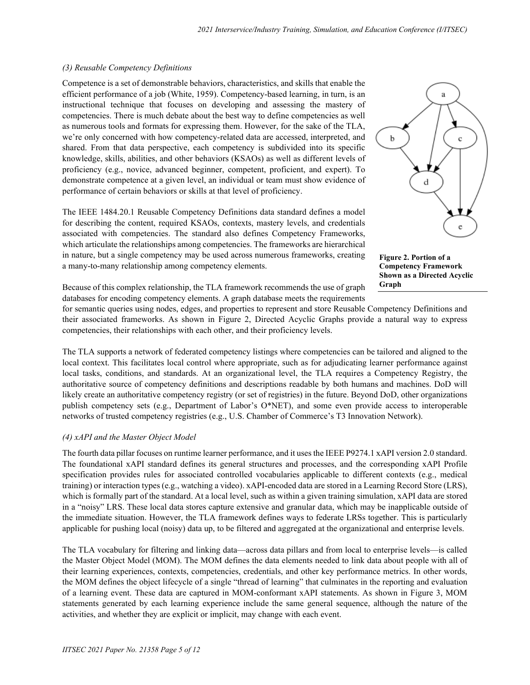## *(3) Reusable Competency Definitions*

Competence is a set of demonstrable behaviors, characteristics, and skills that enable the efficient performance of a job (White, 1959). Competency-based learning, in turn, is an instructional technique that focuses on developing and assessing the mastery of competencies. There is much debate about the best way to define competencies as well as numerous tools and formats for expressing them. However, for the sake of the TLA, we're only concerned with how competency-related data are accessed, interpreted, and shared. From that data perspective, each competency is subdivided into its specific knowledge, skills, abilities, and other behaviors (KSAOs) as well as different levels of proficiency (e.g., novice, advanced beginner, competent, proficient, and expert). To demonstrate competence at a given level, an individual or team must show evidence of performance of certain behaviors or skills at that level of proficiency.

The IEEE 1484.20.1 Reusable Competency Definitions data standard defines a model for describing the content, required KSAOs, contexts, mastery levels, and credentials associated with competencies. The standard also defines Competency Frameworks, which articulate the relationships among competencies. The frameworks are hierarchical in nature, but a single competency may be used across numerous frameworks, creating a many-to-many relationship among competency elements.



**Figure 2. Portion of a Competency Framework Shown as a Directed Acyclic Graph**

Because of this complex relationship, the TLA framework recommends the use of graph databases for encoding competency elements. A graph database meets the requirements

for semantic queries using nodes, edges, and properties to represent and store Reusable Competency Definitions and their associated frameworks. As shown in Figure 2, Directed Acyclic Graphs provide a natural way to express competencies, their relationships with each other, and their proficiency levels.

The TLA supports a network of federated competency listings where competencies can be tailored and aligned to the local context. This facilitates local control where appropriate, such as for adjudicating learner performance against local tasks, conditions, and standards. At an organizational level, the TLA requires a Competency Registry, the authoritative source of competency definitions and descriptions readable by both humans and machines. DoD will likely create an authoritative competency registry (or set of registries) in the future. Beyond DoD, other organizations publish competency sets (e.g., Department of Labor's O\*NET), and some even provide access to interoperable networks of trusted competency registries (e.g., U.S. Chamber of Commerce's T3 Innovation Network).

# *(4) xAPI and the Master Object Model*

The fourth data pillar focuses on runtime learner performance, and it uses the IEEE P9274.1 xAPI version 2.0 standard. The foundational xAPI standard defines its general structures and processes, and the corresponding xAPI Profile specification provides rules for associated controlled vocabularies applicable to different contexts (e.g., medical training) or interaction types (e.g., watching a video). xAPI-encoded data are stored in a Learning Record Store (LRS), which is formally part of the standard. At a local level, such as within a given training simulation, xAPI data are stored in a "noisy" LRS. These local data stores capture extensive and granular data, which may be inapplicable outside of the immediate situation. However, the TLA framework defines ways to federate LRSs together. This is particularly applicable for pushing local (noisy) data up, to be filtered and aggregated at the organizational and enterprise levels.

The TLA vocabulary for filtering and linking data—across data pillars and from local to enterprise levels—is called the Master Object Model (MOM). The MOM defines the data elements needed to link data about people with all of their learning experiences, contexts, competencies, credentials, and other key performance metrics. In other words, the MOM defines the object lifecycle of a single "thread of learning" that culminates in the reporting and evaluation of a learning event. These data are captured in MOM-conformant xAPI statements. As shown in Figure 3, MOM statements generated by each learning experience include the same general sequence, although the nature of the activities, and whether they are explicit or implicit, may change with each event.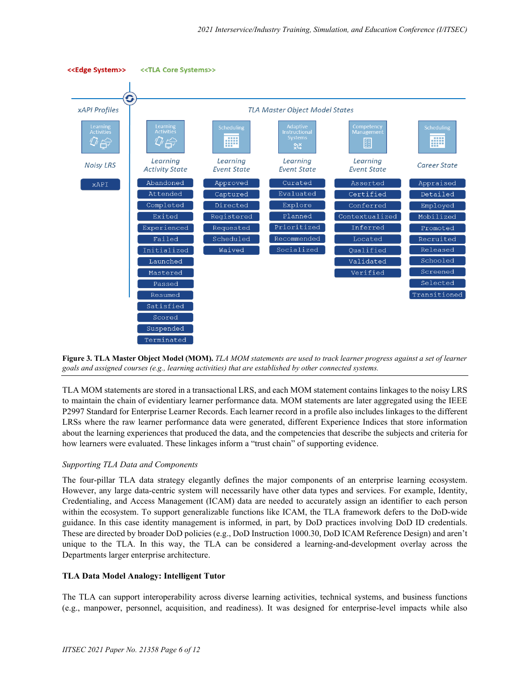





TLA MOM statements are stored in a transactional LRS, and each MOM statement contains linkages to the noisy LRS to maintain the chain of evidentiary learner performance data. MOM statements are later aggregated using the IEEE P2997 Standard for Enterprise Learner Records. Each learner record in a profile also includes linkages to the different LRSs where the raw learner performance data were generated, different Experience Indices that store information about the learning experiences that produced the data, and the competencies that describe the subjects and criteria for how learners were evaluated. These linkages inform a "trust chain" of supporting evidence.

### *Supporting TLA Data and Components*

The four-pillar TLA data strategy elegantly defines the major components of an enterprise learning ecosystem. However, any large data-centric system will necessarily have other data types and services. For example, Identity, Credentialing, and Access Management (ICAM) data are needed to accurately assign an identifier to each person within the ecosystem. To support generalizable functions like ICAM, the TLA framework defers to the DoD-wide guidance. In this case identity management is informed, in part, by DoD practices involving DoD ID credentials. These are directed by broader DoD policies (e.g., DoD Instruction 1000.30, DoD ICAM Reference Design) and aren't unique to the TLA. In this way, the TLA can be considered a learning-and-development overlay across the Departments larger enterprise architecture.

### **TLA Data Model Analogy: Intelligent Tutor**

The TLA can support interoperability across diverse learning activities, technical systems, and business functions (e.g., manpower, personnel, acquisition, and readiness). It was designed for enterprise-level impacts while also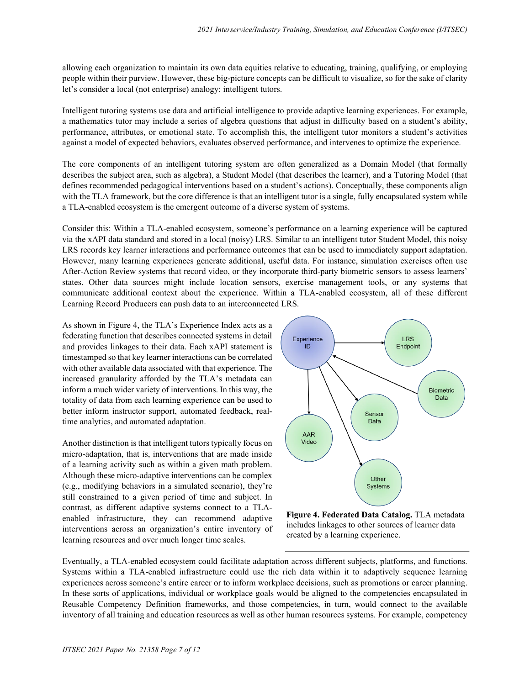allowing each organization to maintain its own data equities relative to educating, training, qualifying, or employing people within their purview. However, these big-picture concepts can be difficult to visualize, so for the sake of clarity let's consider a local (not enterprise) analogy: intelligent tutors.

Intelligent tutoring systems use data and artificial intelligence to provide adaptive learning experiences. For example, a mathematics tutor may include a series of algebra questions that adjust in difficulty based on a student's ability, performance, attributes, or emotional state. To accomplish this, the intelligent tutor monitors a student's activities against a model of expected behaviors, evaluates observed performance, and intervenes to optimize the experience.

The core components of an intelligent tutoring system are often generalized as a Domain Model (that formally describes the subject area, such as algebra), a Student Model (that describes the learner), and a Tutoring Model (that defines recommended pedagogical interventions based on a student's actions). Conceptually, these components align with the TLA framework, but the core difference is that an intelligent tutor is a single, fully encapsulated system while a TLA-enabled ecosystem is the emergent outcome of a diverse system of systems.

Consider this: Within a TLA-enabled ecosystem, someone's performance on a learning experience will be captured via the xAPI data standard and stored in a local (noisy) LRS. Similar to an intelligent tutor Student Model, this noisy LRS records key learner interactions and performance outcomes that can be used to immediately support adaptation. However, many learning experiences generate additional, useful data. For instance, simulation exercises often use After-Action Review systems that record video, or they incorporate third-party biometric sensors to assess learners' states. Other data sources might include location sensors, exercise management tools, or any systems that communicate additional context about the experience. Within a TLA-enabled ecosystem, all of these different Learning Record Producers can push data to an interconnected LRS.

As shown in Figure 4, the TLA's Experience Index acts as a federating function that describes connected systems in detail and provides linkages to their data. Each xAPI statement is timestamped so that key learner interactions can be correlated with other available data associated with that experience. The increased granularity afforded by the TLA's metadata can inform a much wider variety of interventions. In this way, the totality of data from each learning experience can be used to better inform instructor support, automated feedback, realtime analytics, and automated adaptation.

Another distinction is that intelligent tutors typically focus on micro-adaptation, that is, interventions that are made inside of a learning activity such as within a given math problem. Although these micro-adaptive interventions can be complex (e.g., modifying behaviors in a simulated scenario), they're still constrained to a given period of time and subject. In contrast, as different adaptive systems connect to a TLAenabled infrastructure, they can recommend adaptive interventions across an organization's entire inventory of learning resources and over much longer time scales.



**Figure 4. Federated Data Catalog.** TLA metadata includes linkages to other sources of learner data created by a learning experience.

Eventually, a TLA-enabled ecosystem could facilitate adaptation across different subjects, platforms, and functions. Systems within a TLA-enabled infrastructure could use the rich data within it to adaptively sequence learning experiences across someone's entire career or to inform workplace decisions, such as promotions or career planning. In these sorts of applications, individual or workplace goals would be aligned to the competencies encapsulated in Reusable Competency Definition frameworks, and those competencies, in turn, would connect to the available inventory of all training and education resources as well as other human resources systems. For example, competency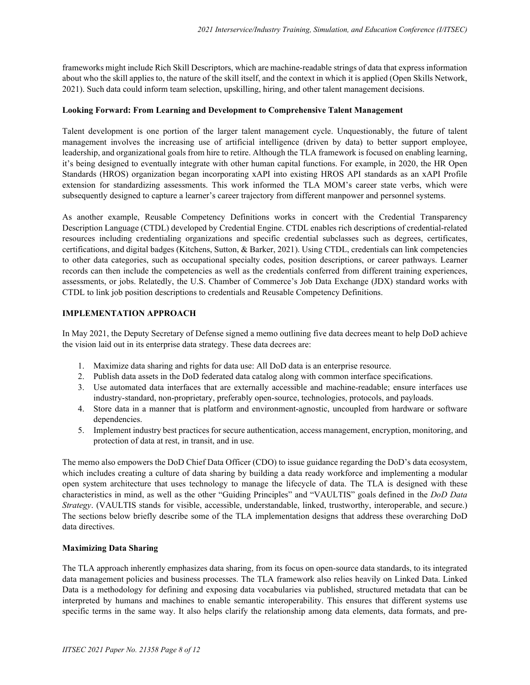frameworks might include Rich Skill Descriptors, which are machine-readable strings of data that express information about who the skill applies to, the nature of the skill itself, and the context in which it is applied (Open Skills Network, 2021). Such data could inform team selection, upskilling, hiring, and other talent management decisions.

### **Looking Forward: From Learning and Development to Comprehensive Talent Management**

Talent development is one portion of the larger talent management cycle. Unquestionably, the future of talent management involves the increasing use of artificial intelligence (driven by data) to better support employee, leadership, and organizational goals from hire to retire. Although the TLA framework is focused on enabling learning, it's being designed to eventually integrate with other human capital functions. For example, in 2020, the HR Open Standards (HROS) organization began incorporating xAPI into existing HROS API standards as an xAPI Profile extension for standardizing assessments. This work informed the TLA MOM's career state verbs, which were subsequently designed to capture a learner's career trajectory from different manpower and personnel systems.

As another example, Reusable Competency Definitions works in concert with the Credential Transparency Description Language (CTDL) developed by Credential Engine. CTDL enables rich descriptions of credential-related resources including credentialing organizations and specific credential subclasses such as degrees, certificates, certifications, and digital badges (Kitchens, Sutton, & Barker, 2021). Using CTDL, credentials can link competencies to other data categories, such as occupational specialty codes, position descriptions, or career pathways. Learner records can then include the competencies as well as the credentials conferred from different training experiences, assessments, or jobs. Relatedly, the U.S. Chamber of Commerce's Job Data Exchange (JDX) standard works with CTDL to link job position descriptions to credentials and Reusable Competency Definitions.

#### **IMPLEMENTATION APPROACH**

In May 2021, the Deputy Secretary of Defense signed a memo outlining five data decrees meant to help DoD achieve the vision laid out in its enterprise data strategy. These data decrees are:

- 1. Maximize data sharing and rights for data use: All DoD data is an enterprise resource.
- 2. Publish data assets in the DoD federated data catalog along with common interface specifications.
- 3. Use automated data interfaces that are externally accessible and machine-readable; ensure interfaces use industry-standard, non-proprietary, preferably open-source, technologies, protocols, and payloads.
- 4. Store data in a manner that is platform and environment-agnostic, uncoupled from hardware or software dependencies.
- 5. Implement industry best practices for secure authentication, access management, encryption, monitoring, and protection of data at rest, in transit, and in use.

The memo also empowers the DoD Chief Data Officer (CDO) to issue guidance regarding the DoD's data ecosystem, which includes creating a culture of data sharing by building a data ready workforce and implementing a modular open system architecture that uses technology to manage the lifecycle of data. The TLA is designed with these characteristics in mind, as well as the other "Guiding Principles" and "VAULTIS" goals defined in the *DoD Data Strategy*. (VAULTIS stands for visible, accessible, understandable, linked, trustworthy, interoperable, and secure.) The sections below briefly describe some of the TLA implementation designs that address these overarching DoD data directives.

#### **Maximizing Data Sharing**

The TLA approach inherently emphasizes data sharing, from its focus on open-source data standards, to its integrated data management policies and business processes. The TLA framework also relies heavily on Linked Data. Linked Data is a methodology for defining and exposing data vocabularies via published, structured metadata that can be interpreted by humans and machines to enable semantic interoperability. This ensures that different systems use specific terms in the same way. It also helps clarify the relationship among data elements, data formats, and pre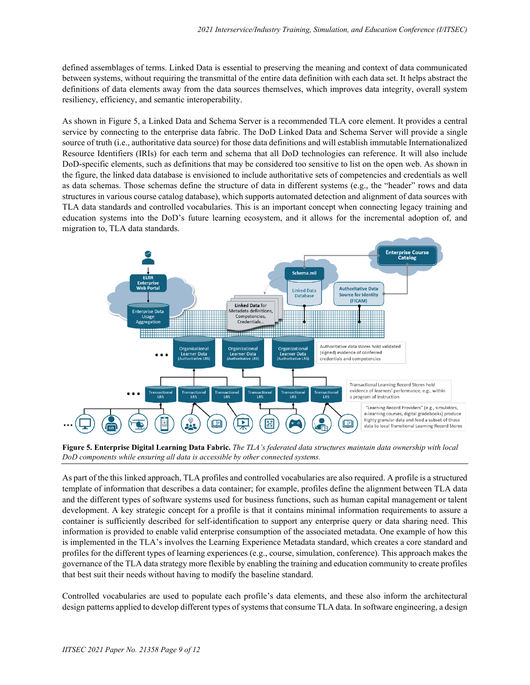defined assemblages of terms. Linked Data is essential to preserving the meaning and context of data communicated between systems, without requiring the transmittal of the entire data definition with each data set. It helps abstract the definitions of data elements away from the data sources themselves, which improves data integrity, overall system resiliency, efficiency, and semantic interoperability.

As shown in Figure 5, a Linked Data and Schema Server is a recommended TLA core element. It provides a central service by connecting to the enterprise data fabric. The DoD Linked Data and Schema Server will provide a single source of truth (i.e., authoritative data source) for those data definitions and will establish immutable Internationalized Resource Identifiers (IRIs) for each term and schema that all DoD technologies can reference. It will also include DoD-specific elements, such as definitions that may be considered too sensitive to list on the open web. As shown in the figure, the linked data database is envisioned to include authoritative sets of competencies and credentials as well as data schemas. Those schemas define the structure of data in different systems (e.g., the "header" rows and data structures in various course catalog database), which supports automated detection and alignment of data sources with TLA data standards and controlled vocabularies. This is an important concept when connecting legacy training and education systems into the DoD's future learning ecosystem, and it allows for the incremental adoption of, and migration to, TLA data standards.



**Figure 5. Enterprise Digital Learning Data Fabric.** *The TLA's federated data structures maintain data ownership with local DoD components while ensuring all data is accessible by other connected systems.*

As part of the this linked approach, TLA profiles and controlled vocabularies are also required. A profile is a structured template of information that describes a data container; for example, profiles define the alignment between TLA data and the different types of software systems used for business functions, such as human capital management or talent development. A key strategic concept for a profile is that it contains minimal information requirements to assure a container is sufficiently described for self-identification to support any enterprise query or data sharing need. This information is provided to enable valid enterprise consumption of the associated metadata. One example of how this is implemented in the TLA's involves the Learning Experience Metadata standard, which creates a core standard and profiles for the different types of learning experiences (e.g., course, simulation, conference). This approach makes the governance of the TLA data strategy more flexible by enabling the training and education community to create profiles that best suit their needs without having to modify the baseline standard.

Controlled vocabularies are used to populate each profile's data elements, and these also inform the architectural design patterns applied to develop different types of systems that consume TLA data. In software engineering, a design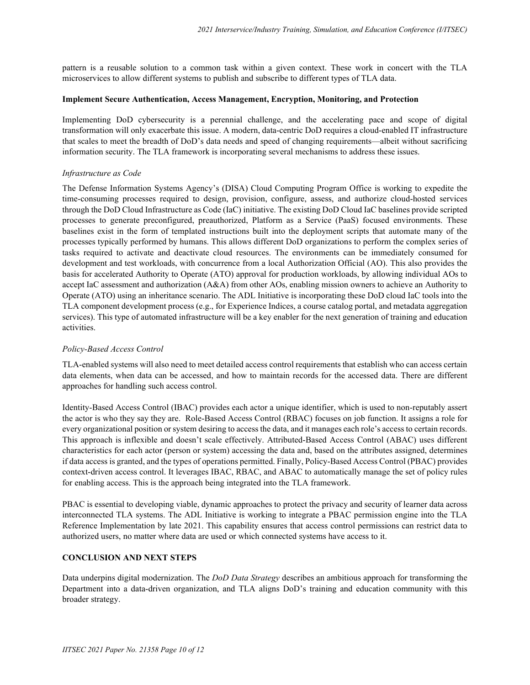pattern is a reusable solution to a common task within a given context. These work in concert with the TLA microservices to allow different systems to publish and subscribe to different types of TLA data.

#### **Implement Secure Authentication, Access Management, Encryption, Monitoring, and Protection**

Implementing DoD cybersecurity is a perennial challenge, and the accelerating pace and scope of digital transformation will only exacerbate this issue. A modern, data-centric DoD requires a cloud-enabled IT infrastructure that scales to meet the breadth of DoD's data needs and speed of changing requirements—albeit without sacrificing information security. The TLA framework is incorporating several mechanisms to address these issues.

## *Infrastructure as Code*

The Defense Information Systems Agency's (DISA) Cloud Computing Program Office is working to expedite the time-consuming processes required to design, provision, configure, assess, and authorize cloud-hosted services through the DoD Cloud Infrastructure as Code (IaC) initiative. The existing DoD Cloud IaC baselines provide scripted processes to generate preconfigured, preauthorized, Platform as a Service (PaaS) focused environments. These baselines exist in the form of templated instructions built into the deployment scripts that automate many of the processes typically performed by humans. This allows different DoD organizations to perform the complex series of tasks required to activate and deactivate cloud resources. The environments can be immediately consumed for development and test workloads, with concurrence from a local Authorization Official (AO). This also provides the basis for accelerated Authority to Operate (ATO) approval for production workloads, by allowing individual AOs to accept IaC assessment and authorization (A&A) from other AOs, enabling mission owners to achieve an Authority to Operate (ATO) using an inheritance scenario. The ADL Initiative is incorporating these DoD cloud IaC tools into the TLA component development process (e.g., for Experience Indices, a course catalog portal, and metadata aggregation services). This type of automated infrastructure will be a key enabler for the next generation of training and education activities.

# *Policy-Based Access Control*

TLA-enabled systems will also need to meet detailed access control requirements that establish who can access certain data elements, when data can be accessed, and how to maintain records for the accessed data. There are different approaches for handling such access control.

Identity-Based Access Control (IBAC) provides each actor a unique identifier, which is used to non-reputably assert the actor is who they say they are. Role-Based Access Control (RBAC) focuses on job function. It assigns a role for every organizational position or system desiring to access the data, and it manages each role's access to certain records. This approach is inflexible and doesn't scale effectively. Attributed-Based Access Control (ABAC) uses different characteristics for each actor (person or system) accessing the data and, based on the attributes assigned, determines if data access is granted, and the types of operations permitted. Finally, Policy-Based Access Control (PBAC) provides context-driven access control. It leverages IBAC, RBAC, and ABAC to automatically manage the set of policy rules for enabling access. This is the approach being integrated into the TLA framework.

PBAC is essential to developing viable, dynamic approaches to protect the privacy and security of learner data across interconnected TLA systems. The ADL Initiative is working to integrate a PBAC permission engine into the TLA Reference Implementation by late 2021. This capability ensures that access control permissions can restrict data to authorized users, no matter where data are used or which connected systems have access to it.

### **CONCLUSION AND NEXT STEPS**

Data underpins digital modernization. The *DoD Data Strategy* describes an ambitious approach for transforming the Department into a data-driven organization, and TLA aligns DoD's training and education community with this broader strategy.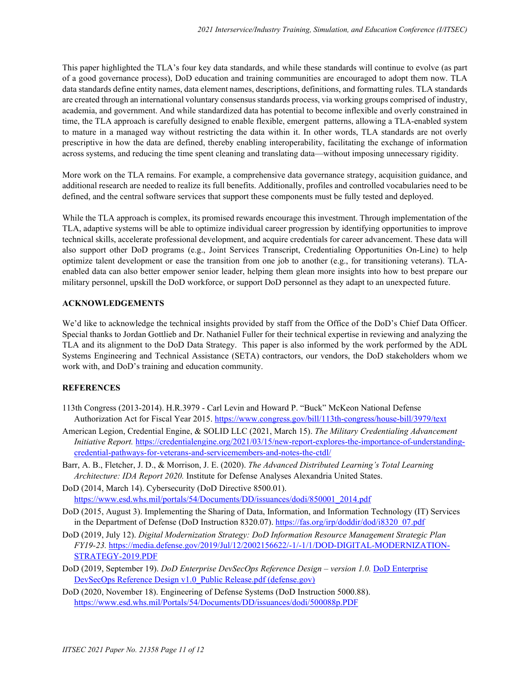This paper highlighted the TLA's four key data standards, and while these standards will continue to evolve (as part of a good governance process), DoD education and training communities are encouraged to adopt them now. TLA data standards define entity names, data element names, descriptions, definitions, and formatting rules. TLA standards are created through an international voluntary consensus standards process, via working groups comprised of industry, academia, and government. And while standardized data has potential to become inflexible and overly constrained in time, the TLA approach is carefully designed to enable flexible, emergent patterns, allowing a TLA-enabled system to mature in a managed way without restricting the data within it. In other words, TLA standards are not overly prescriptive in how the data are defined, thereby enabling interoperability, facilitating the exchange of information across systems, and reducing the time spent cleaning and translating data—without imposing unnecessary rigidity.

More work on the TLA remains. For example, a comprehensive data governance strategy, acquisition guidance, and additional research are needed to realize its full benefits. Additionally, profiles and controlled vocabularies need to be defined, and the central software services that support these components must be fully tested and deployed.

While the TLA approach is complex, its promised rewards encourage this investment. Through implementation of the TLA, adaptive systems will be able to optimize individual career progression by identifying opportunities to improve technical skills, accelerate professional development, and acquire credentials for career advancement. These data will also support other DoD programs (e.g., Joint Services Transcript, Credentialing Opportunities On-Line) to help optimize talent development or ease the transition from one job to another (e.g., for transitioning veterans). TLAenabled data can also better empower senior leader, helping them glean more insights into how to best prepare our military personnel, upskill the DoD workforce, or support DoD personnel as they adapt to an unexpected future.

### **ACKNOWLEDGEMENTS**

We'd like to acknowledge the technical insights provided by staff from the Office of the DoD's Chief Data Officer. Special thanks to Jordan Gottlieb and Dr. Nathaniel Fuller for their technical expertise in reviewing and analyzing the TLA and its alignment to the DoD Data Strategy. This paper is also informed by the work performed by the ADL Systems Engineering and Technical Assistance (SETA) contractors, our vendors, the DoD stakeholders whom we work with, and DoD's training and education community.

### **REFERENCES**

- 113th Congress (2013-2014). H.R.3979 Carl Levin and Howard P. "Buck" McKeon National Defense Authorization Act for Fiscal Year 2015.<https://www.congress.gov/bill/113th-congress/house-bill/3979/text>
- American Legion, Credential Engine, & SOLID LLC (2021, March 15). *The Military Credentialing Advancement Initiative Report.* [https://credentialengine.org/2021/03/15/new-report-explores-the-importance-of-understanding](https://credentialengine.org/2021/03/15/new-report-explores-the-importance-of-understanding-credential-pathways-for-veterans-and-servicemembers-and-notes-the-ctdl/)[credential-pathways-for-veterans-and-servicemembers-and-notes-the-ctdl/](https://credentialengine.org/2021/03/15/new-report-explores-the-importance-of-understanding-credential-pathways-for-veterans-and-servicemembers-and-notes-the-ctdl/)
- Barr, A. B., Fletcher, J. D., & Morrison, J. E. (2020). *The Advanced Distributed Learning's Total Learning Architecture: IDA Report 2020.* Institute for Defense Analyses Alexandria United States.
- DoD (2014, March 14). Cybersecurity (DoD Directive 8500.01). [https://www.esd.whs.mil/portals/54/Documents/DD/issuances/dodi/850001\\_2014.pdf](https://www.esd.whs.mil/portals/54/Documents/DD/issuances/dodi/850001_2014.pdf)
- DoD (2015, August 3). Implementing the Sharing of Data, Information, and Information Technology (IT) Services in the Department of Defense (DoD Instruction 8320.07)[. https://fas.org/irp/doddir/dod/i8320\\_07.pdf](https://fas.org/irp/doddir/dod/i8320_07.pdf)
- DoD (2019, July 12). *Digital Modernization Strategy: DoD Information Resource Management Strategic Plan FY19-23.* [https://media.defense.gov/2019/Jul/12/2002156622/-1/-1/1/DOD-DIGITAL-MODERNIZATION-](https://media.defense.gov/2019/Jul/12/2002156622/-1/-1/1/DOD-DIGITAL-MODERNIZATION-STRATEGY-2019.PDF)[STRATEGY-2019.PDF](https://media.defense.gov/2019/Jul/12/2002156622/-1/-1/1/DOD-DIGITAL-MODERNIZATION-STRATEGY-2019.PDF)
- DoD (2019, September 19). *DoD Enterprise DevSecOps Reference Design – version 1.0.* [DoD Enterprise](https://dodcio.defense.gov/Portals/0/Documents/DoD%20Enterprise%20DevSecOps%20Reference%20Design%20v1.0_Public%20Release.pdf?ver=2019-09-26-115824-583)  DevSecOps Reference Design v1.0 Public Release.pdf (defense.gov)
- DoD (2020, November 18). Engineering of Defense Systems (DoD Instruction 5000.88). <https://www.esd.whs.mil/Portals/54/Documents/DD/issuances/dodi/500088p.PDF>